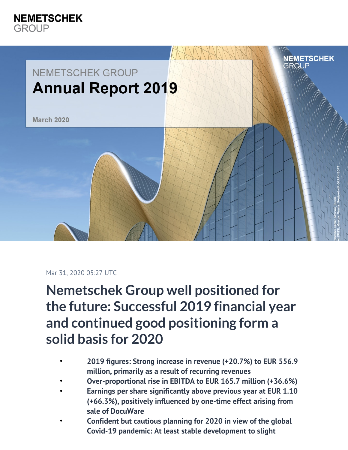

## Mar 31, 2020 05:27 UTC

**Nemetschek Group well positioned for the future: Successful 2019 financial year and continued good positioning form a solid basis for 2020**

- **2019 figures: Strong increase in revenue (+20.7%) to EUR 556.9 million, primarily as a result of recurring revenues**
- **Over-proportional rise in EBITDA to EUR 165.7 million (+36.6%)**
- **Earnings per share significantly above previous year at EUR 1.10 (+66.3%), positively influenced by one-time effect arising from sale of DocuWare**
- **Confident but cautious planning for 2020 in view of the global Covid-19 pandemic: At least stable development to slight**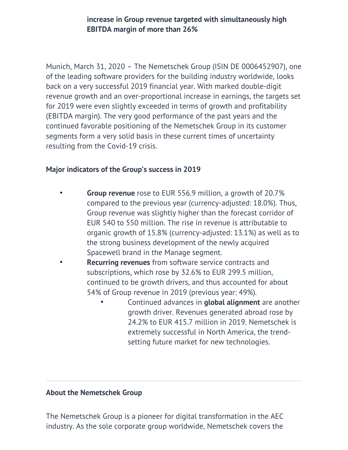**increase in Group revenue targeted with simultaneously high EBITDA margin of more than 26%**

Munich, March 31, 2020 – The Nemetschek Group (ISIN DE 0006452907), one of the leading software providers for the building industry worldwide, looks back on a very successful 2019 financial year. With marked double-digit revenue growth and an over-proportional increase in earnings, the targets set for 2019 were even slightly exceeded in terms of growth and profitability (EBITDA margin). The very good performance of the past years and the continued favorable positioning of the Nemetschek Group in its customer segments form a very solid basis in these current times of uncertainty resulting from the Covid-19 crisis.

## **Major indicators of the Group's success in 2019**

- **Group revenue** rose to EUR 556.9 million, a growth of 20.7% compared to the previous year (currency-adjusted: 18.0%). Thus, Group revenue was slightly higher than the forecast corridor of EUR 540 to 550 million. The rise in revenue is attributable to organic growth of 15.8% (currency-adjusted: 13.1%) as well as to the strong business development of the newly acquired Spacewell brand in the Manage segment.
	- **Recurring revenues** from software service contracts and subscriptions, which rose by 32.6% to EUR 299.5 million, continued to be growth drivers, and thus accounted for about 54% of Group revenue in 2019 (previous year: 49%).
		- Continued advances in **global alignment** are another growth driver. Revenues generated abroad rose by 24.2% to EUR 415.7 million in 2019. Nemetschek is extremely successful in North America, the trendsetting future market for new technologies.

## **About the Nemetschek Group**

The Nemetschek Group is a pioneer for digital transformation in the AEC industry. As the sole corporate group worldwide, Nemetschek covers the